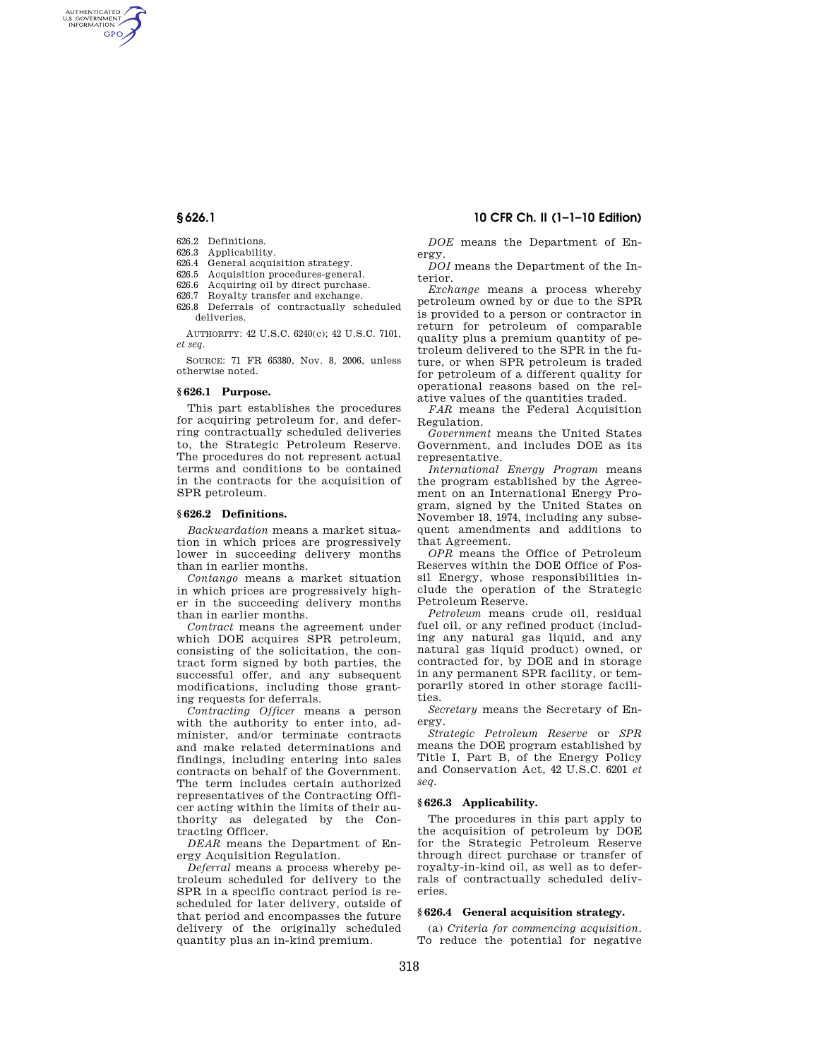AUTHENTICATED<br>U.S. GOVERNMENT<br>INFORMATION **GPO** 

- 626.2 Definitions.
- 626.3 Applicability.
- 626.4 General acquisition strategy.
- 626.5 Acquisition procedures-general.
- 626.6 Acquiring oil by direct purchase.
- 626.7 Royalty transfer and exchange. 626.8 Deferrals of contractually scheduled
- deliveries.

AUTHORITY: 42 U.S.C. 6240(c); 42 U.S.C. 7101, *et seq.* 

SOURCE: 71 FR 65380, Nov. 8, 2006, unless otherwise noted.

## **§ 626.1 Purpose.**

This part establishes the procedures for acquiring petroleum for, and deferring contractually scheduled deliveries to, the Strategic Petroleum Reserve. The procedures do not represent actual terms and conditions to be contained in the contracts for the acquisition of SPR petroleum.

#### **§ 626.2 Definitions.**

*Backwardation* means a market situation in which prices are progressively lower in succeeding delivery months than in earlier months.

*Contango* means a market situation in which prices are progressively higher in the succeeding delivery months than in earlier months.

*Contract* means the agreement under which DOE acquires SPR petroleum, consisting of the solicitation, the contract form signed by both parties, the successful offer, and any subsequent modifications, including those granting requests for deferrals.

*Contracting Officer* means a person with the authority to enter into, administer, and/or terminate contracts and make related determinations and findings, including entering into sales contracts on behalf of the Government. The term includes certain authorized representatives of the Contracting Officer acting within the limits of their authority as delegated by the Contracting Officer.

*DEAR* means the Department of Energy Acquisition Regulation.

*Deferral* means a process whereby petroleum scheduled for delivery to the SPR in a specific contract period is rescheduled for later delivery, outside of that period and encompasses the future delivery of the originally scheduled quantity plus an in-kind premium.

# **§ 626.1 10 CFR Ch. II (1–1–10 Edition)**

*DOE* means the Department of Energy.

*DOI* means the Department of the Interior.

*Exchange* means a process whereby petroleum owned by or due to the SPR is provided to a person or contractor in return for petroleum of comparable quality plus a premium quantity of petroleum delivered to the SPR in the future, or when SPR petroleum is traded for petroleum of a different quality for operational reasons based on the relative values of the quantities traded.

*FAR* means the Federal Acquisition Regulation.

*Government* means the United States Government, and includes DOE as its representative.

*International Energy Program* means the program established by the Agreement on an International Energy Program, signed by the United States on November 18, 1974, including any subsequent amendments and additions to that Agreement.

*OPR* means the Office of Petroleum Reserves within the DOE Office of Fossil Energy, whose responsibilities include the operation of the Strategic Petroleum Reserve.

*Petroleum* means crude oil, residual fuel oil, or any refined product (including any natural gas liquid, and any natural gas liquid product) owned, or contracted for, by DOE and in storage in any permanent SPR facility, or temporarily stored in other storage facilities.

*Secretary* means the Secretary of Energy.

*Strategic Petroleum Reserve* or *SPR*  means the DOE program established by Title I, Part B, of the Energy Policy and Conservation Act, 42 U.S.C. 6201 *et seq.* 

## **§ 626.3 Applicability.**

The procedures in this part apply to the acquisition of petroleum by DOE for the Strategic Petroleum Reserve through direct purchase or transfer of royalty-in-kind oil, as well as to deferrals of contractually scheduled deliveries.

# **§ 626.4 General acquisition strategy.**

(a) *Criteria for commencing acquisition*. To reduce the potential for negative